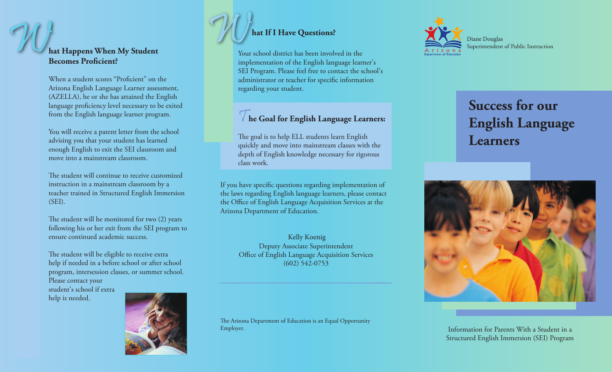## W And If I Have Questions?<br>
hat Happens When My Student<br>
Becomes Proficient?<br>
What If I Have Questions?<br>
Your school district has been involved in the<br>
implementation of the English language learn **hat Happens When My Student Becomes Proficient?**

When a student scores "Proficient" on the Arizona English Language Learner assessment, (AZELLA), he or she has attained the English language proficiency level necessary to be exited from the English language learner program.

You will receive a parent letter from the school advising you that your student has learned enough English to exit the SEI classroom and move into a mainstream classroom.

The student will continue to receive customized instruction in a mainstream classroom by a teacher trained in Structured English Immersion (SEI).

The student will be monitored for two (2) years following his or her exit from the SEI program to ensure continued academic success.

The student will be eligible to receive extra help if needed in a before school or after school program, intersession classes, or summer school.

Please contact your student's school if extra help is needed.





implementation of the English language learner's SEI Program. Please feel free to contact the school's administrator or teacher for specific information regarding your student.

### T**he Goal for English Language Learners:**

The goal is to help ELL students learn English quickly and move into mainstream classes with the depth of English knowledge necessary for rigorous class work.

If you have specific questions regarding implementation of the laws regarding English language learners, please contact the Office of English Language Acquisition Services at the Arizona Department of Education.

> Kelly Koenig Deputy Associate Superintendent Office of English Language Acquisition Services (602) 542-0753

The Arizona Department of Education is an Equal Opportunity Employer.



# **Success for our English Language Learners**



Information for Parents With a Student in a Structured English Immersion (SEI) Program